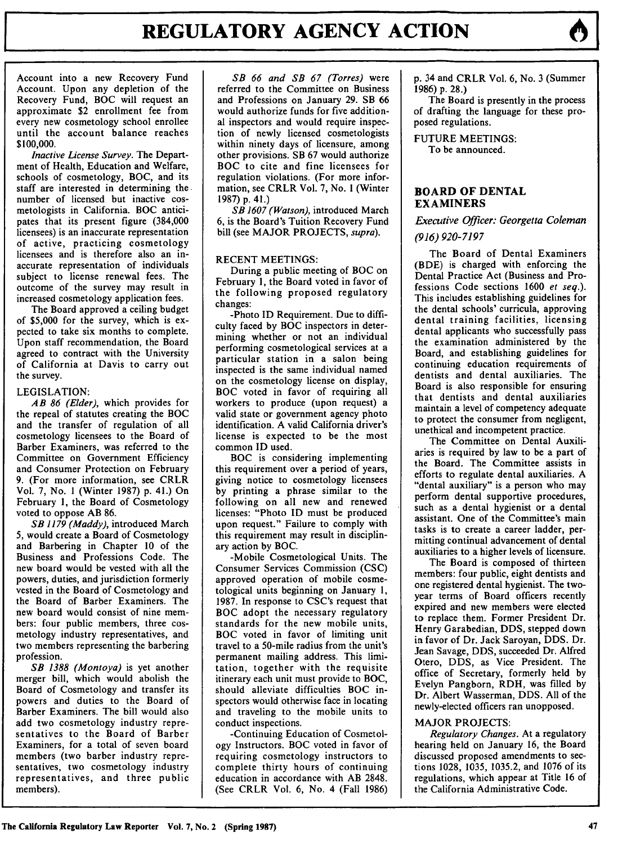Account into a new Recovery Fund Account. Upon any depletion of the Recovery Fund, BOC will request an approximate \$2 enrollment fee from every new cosmetology school enrollee until the account balance reaches \$100,000.

*Inactive License Survey.* The Department of Health, Education and Welfare, schools of cosmetology, BOC, and its staff are interested in determining the number of licensed but inactive cosmetologists in California. BOC anticipates that its present figure (384,000 licensees) is an inaccurate representation of active, practicing cosmetology licensees and is therefore also an inaccurate representation of individuals subject to license renewal fees. The outcome of the survey may result in increased cosmetology application fees.

The Board approved a ceiling budget of \$5,000 for the survey, which is expected to take six months to complete. Upon staff recommendation, the Board agreed to contract with the University of California at Davis to carry out the survey.

### LEGISLATION:

*AB 86 (Elder),* which provides for the repeal of statutes creating the BOC and the transfer of regulation of all cosmetology licensees to the Board of Barber Examiners, was referred to the Committee on Government Efficiency and Consumer Protection on February 9. (For more information, see CRLR Vol. 7, No. **I** (Winter 1987) p. 41.) On February 1, the Board of Cosmetology voted to oppose AB 86.

*SB 1179 (Maddy),* introduced March 5, would create a Board of Cosmetology and Barbering in Chapter 10 of the Business and Professions Code. The new board would be vested with all the powers, duties, and jurisdiction formerly vested in the Board of Cosmetology and the Board of Barber Examiners. The new board would consist of nine members: four public members, three cosmetology industry representatives, and two members representing the barbering profession.

*SB 1388 (Montoya)* is yet another merger bill, which would abolish the Board of Cosmetology and transfer its powers and duties to the Board of Barber Examiners. The bill would also add two cosmetology industry representatives to the Board of Barber Examiners, for a total of seven board members (two barber industry representatives, two cosmetology industry representatives, and three public members).

*SB 66 and SB 67 (Torres)* were referred to the Committee on Business and Professions on January 29. SB 66 would authorize funds for five additional inspectors and would require inspection of newly licensed cosmetologists within ninety days of licensure, among other provisions. SB 67 would authorize BOC to cite and fine licensees for regulation violations. (For more information, see CRLR Vol. 7, No. 1 (Winter 1987) p. 41.)

*SB 1607 (Watson),* introduced March 6, is the Board's Tuition Recovery Fund bill (see MAJOR PROJECTS, *supra).*

### RECENT MEETINGS:

During a public meeting of BOC on February 1, the Board voted in favor of the following proposed regulatory changes:

-Photo ID Requirement. Due to difficulty faced by BOC inspectors in determining whether or not an individual performing cosmetological services at a particular station in a salon being inspected is the same individual named on the cosmetology license on display, BOC voted in favor of requiring all workers to produce (upon request) a valid state or government agency photo identification. A valid California driver's license is expected to be the most common ID used.

BOC is considering implementing this requirement over a period of years, giving notice to cosmetology licensees by printing a phrase similar to the following on all new and renewed licenses: "Photo ID must be produced upon request." Failure to comply with this requirement may result in disciplinary action by BOC.

-Mobile Cosmetological Units. The Consumer Services Commission (CSC) approved operation of mobile cosmetological units beginning on January 1, 1987. In response to CSC's request that BOC adopt the necessary regulatory standards for the new mobile units, BOC voted in favor of limiting unit travel to a 50-mile radius from the unit's permanent mailing address. This limitation, together with the requisite itinerary each unit must provide to BOC, should alleviate difficulties BOC inspectors would otherwise face in locating and traveling to the mobile units to conduct inspections.

-Continuing Education of Cosmetology Instructors. BOC voted in favor of requiring cosmetology instructors to complete thirty hours of continuing education in accordance with AB 2848. (See CRLR Vol. 6, No. 4 (Fall 1986) p. 34 and CRLR Vol. 6, No. 3 (Summer 1986) p. 28.)

The Board is presently in the process of drafting the language for these proposed regulations.

FUTURE MEETINGS: To be announced.

## **BOARD OF DENTAL EXAMINERS**

*Executive Officer: Georgetta Coleman (916) 920-7197*

The Board of Dental Examiners (BDE) is charged with enforcing the Dental Practice Act (Business and Professions Code sections 1600 *et seq.).* This includes establishing guidelines for the dental schools' curricula, approving dental training facilities, licensing dental applicants who successfully pass the examination administered by the Board, and establishing guidelines for continuing education requirements of dentists and dental auxiliaries. The Board is also responsible for ensuring that dentists and dental auxiliaries maintain a level of competency adequate to protect the consumer from negligent, unethical and incompetent practice.

The Committee on Dental Auxiliaries is required by law to be a part of the Board. The Committee assists in efforts to regulate dental auxiliaries. A "dental auxiliary" is a person who may perform dental supportive procedures, such as a dental hygienist or a dental assistant. One of the Committee's main tasks is to create a career ladder, permitting continual advancement of dental auxiliaries to a higher levels of licensure.

The Board is composed of thirteen members: four public, eight dentists and one registered dental hygienist. The twoyear terms of Board officers recently expired and new members were elected to replace them. Former President Dr. Henry Garabedian, DDS, stepped down in favor of Dr. Jack Saroyan, DDS. Dr. Jean Savage, DDS, succeeded Dr. Alfred Otero, DDS, as Vice President. The office of Secretary, formerly held by Evelyn Pangborn, RDH, was filled by Dr. Albert Wasserman, DDS. All of the newly-elected officers ran unopposed.

# MAJOR PROJECTS:

*Regulatory Changes.* At a regulatory hearing held on January 16, the Board discussed proposed amendments to sections 1028, 1035, 1035.2, and 1076 of its regulations, which appear at Title 16 of the California Administrative Code.